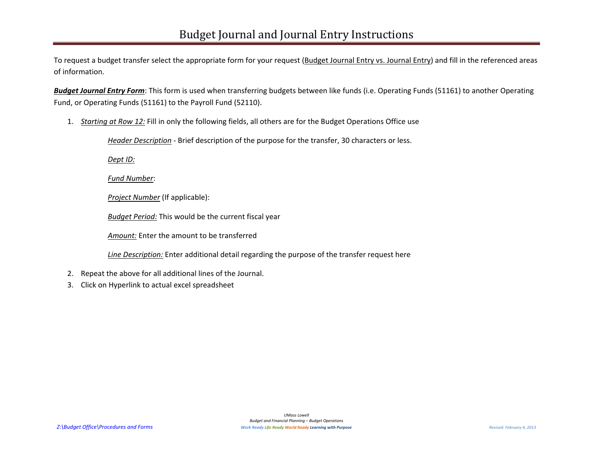To request a budget transfer select the appropriate form for your request (Budget Journal Entry vs. Journal Entry) and fill in the referenced areas of information.

**Budget Journal Entry Form**: This form is used when transferring budgets between like funds (i.e. Operating Funds (51161) to another Operating Fund, or Operating Funds (51161) to the Payroll Fund (52110).

1. *Starting at Row 12:* Fill in only the following fields, all others are for the Budget Operations Office use

*Header Description* - Brief description of the purpose for the transfer, 30 characters or less.

*Dept ID:*

*Fund Number*:

*Project Number* (If applicable):

*Budget Period:* This would be the current fiscal year

*Amount:* Enter the amount to be transferred

*Line Description:* Enter additional detail regarding the purpose of the transfer request here

- 2. Repeat the above for all additional lines of the Journal.
- 3. Click on Hyperlink to actual excel spreadsheet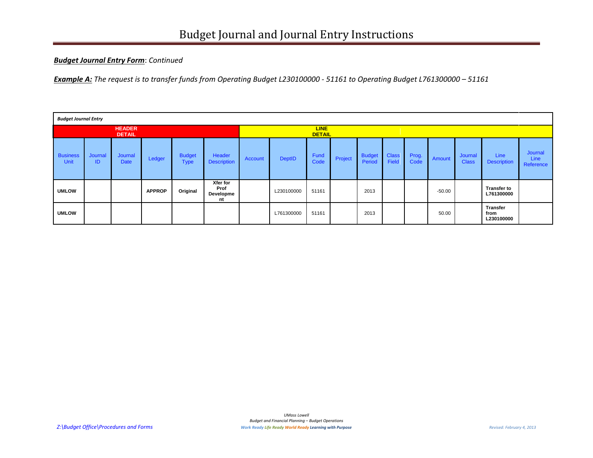## *Budget Journal Entry Form*: *Continued*

*Example A: The request is to transfer funds from Operating Budget L230100000 - 51161 to Operating Budget L761300000 – 51161*

| <b>Budget Journal Entry</b>    |               |                        |               |                              |                                     |                              |               |              |         |                         |                       |               |          |                         |                                       |                              |
|--------------------------------|---------------|------------------------|---------------|------------------------------|-------------------------------------|------------------------------|---------------|--------------|---------|-------------------------|-----------------------|---------------|----------|-------------------------|---------------------------------------|------------------------------|
| <b>HEADER</b><br><b>DETAIL</b> |               |                        |               |                              |                                     | <b>LINE</b><br><b>DETAIL</b> |               |              |         |                         |                       |               |          |                         |                                       |                              |
| <b>Business</b><br><b>Unit</b> | Journal<br>ID | Journal<br><b>Date</b> | Ledger        | <b>Budget</b><br><b>Type</b> | Header<br><b>Description</b>        | Account                      | <b>DeptID</b> | Fund<br>Code | Project | <b>Budget</b><br>Period | <b>Class</b><br>Field | Prog.<br>Code | Amount   | Journal<br><b>Class</b> | Line<br><b>Description</b>            | Journal<br>Line<br>Reference |
| <b>UMLOW</b>                   |               |                        | <b>APPROP</b> | Original                     | Xfer for<br>Prof<br>Developme<br>nt |                              | L230100000    | 51161        |         | 2013                    |                       |               | $-50.00$ |                         | <b>Transfer to</b><br>L761300000      |                              |
| <b>UMLOW</b>                   |               |                        |               |                              |                                     |                              | L761300000    | 51161        |         | 2013                    |                       |               | 50.00    |                         | <b>Transfer</b><br>from<br>L230100000 |                              |